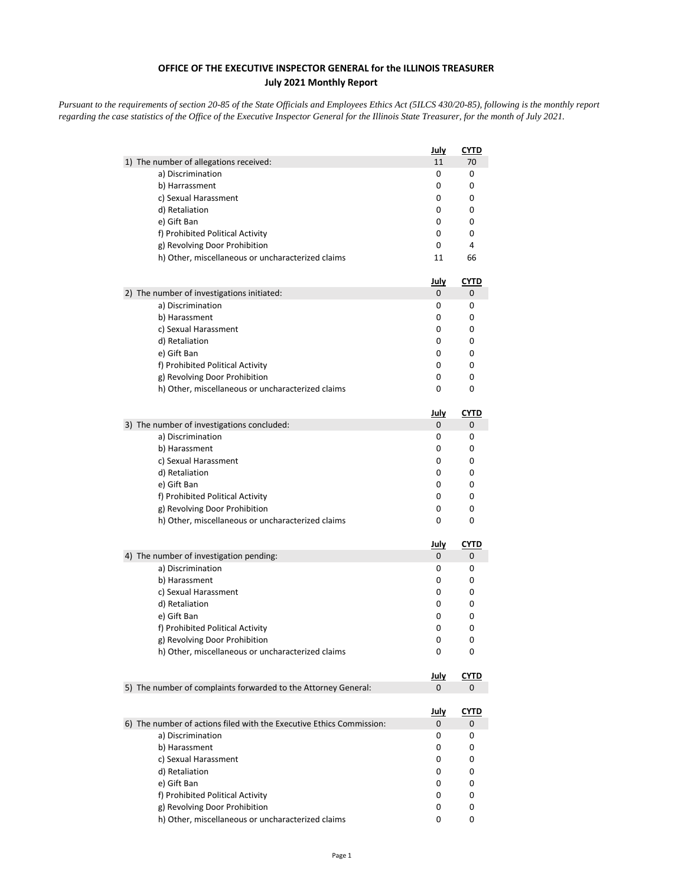## **OFFICE OF THE EXECUTIVE INSPECTOR GENERAL for the ILLINOIS TREASURER July 2021 Monthly Report**

*Pursuant to the requirements of section 20-85 of the State Officials and Employees Ethics Act (5ILCS 430/20-85), following is the monthly report regarding the case statistics of the Office of the Executive Inspector General for the Illinois State Treasurer, for the month of July 2021.* 

|                                                                      | <u>July</u>      | <b>CYTD</b>      |
|----------------------------------------------------------------------|------------------|------------------|
| 1) The number of allegations received:                               | 11               | 70               |
| a) Discrimination                                                    | 0                | 0                |
| b) Harrassment                                                       | 0                | 0                |
| c) Sexual Harassment                                                 | 0                | 0                |
| d) Retaliation                                                       | 0                | 0                |
| e) Gift Ban<br>f) Prohibited Political Activity                      | 0<br>0           | 0<br>0           |
| g) Revolving Door Prohibition                                        | 0                | 4                |
| h) Other, miscellaneous or uncharacterized claims                    | 11               | 66               |
|                                                                      |                  |                  |
|                                                                      | <u>July</u>      | <u>CYTD</u>      |
| 2) The number of investigations initiated:<br>a) Discrimination      | 0<br>0           | 0<br>0           |
| b) Harassment                                                        | 0                | 0                |
| c) Sexual Harassment                                                 | 0                | 0                |
| d) Retaliation                                                       | 0                | 0                |
| e) Gift Ban                                                          | 0                | 0                |
| f) Prohibited Political Activity                                     | 0                | 0                |
| g) Revolving Door Prohibition                                        | 0                | 0                |
| h) Other, miscellaneous or uncharacterized claims                    | 0                | 0                |
|                                                                      | <u>July</u>      | CYTD             |
| 3) The number of investigations concluded:                           | 0                | 0                |
| a) Discrimination                                                    | 0                | 0                |
| b) Harassment                                                        | 0                | 0                |
| c) Sexual Harassment                                                 | 0                | 0                |
| d) Retaliation                                                       | 0                | 0                |
| e) Gift Ban                                                          | 0                | 0                |
| f) Prohibited Political Activity                                     | 0                | 0                |
| g) Revolving Door Prohibition                                        | 0                | 0                |
| h) Other, miscellaneous or uncharacterized claims                    | 0                | 0                |
|                                                                      | <u>July</u>      | <u>CYTD</u>      |
| 4) The number of investigation pending:                              | 0                | 0                |
| a) Discrimination                                                    | 0                | 0                |
| b) Harassment                                                        | 0                | 0                |
| c) Sexual Harassment                                                 | 0                | 0                |
| d) Retaliation<br>e) Gift Ban                                        | 0                | 0<br>0           |
| f) Prohibited Political Activity                                     | 0<br>0           | 0                |
| g) Revolving Door Prohibition                                        | 0                | 0                |
| h) Other, miscellaneous or uncharacterized claims                    | 0                | 0                |
|                                                                      |                  |                  |
| 5) The number of complaints forwarded to the Attorney General:       | <u>July</u><br>0 | <b>CYTD</b><br>0 |
|                                                                      |                  |                  |
|                                                                      | <u>July</u>      | <b>CYTD</b>      |
| 6) The number of actions filed with the Executive Ethics Commission: | 0                | 0                |
| a) Discrimination                                                    | 0                | 0                |
| b) Harassment                                                        | 0                | 0                |
| c) Sexual Harassment                                                 | 0                | 0                |
| d) Retaliation<br>e) Gift Ban                                        | 0<br>0           | 0                |
| f) Prohibited Political Activity                                     | 0                | 0<br>0           |
| g) Revolving Door Prohibition                                        | 0                | 0                |
| h) Other, miscellaneous or uncharacterized claims                    | 0                | 0                |